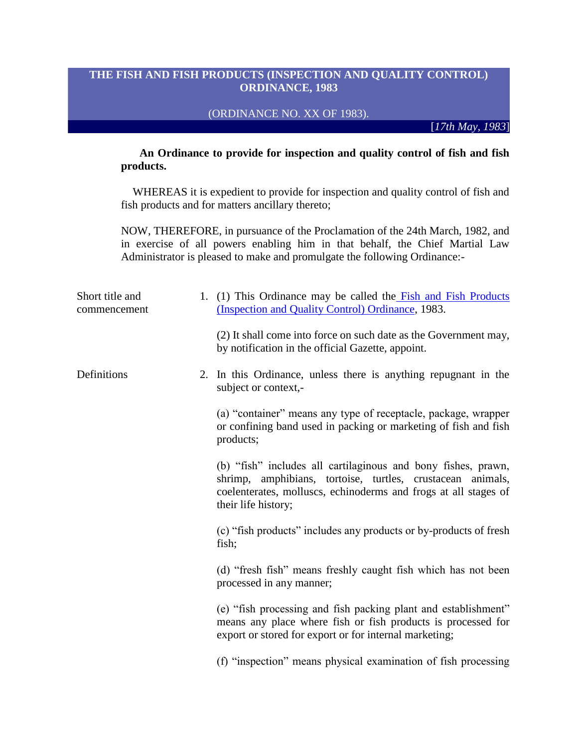## **THE FISH AND FISH PRODUCTS (INSPECTION AND QUALITY CONTROL) ORDINANCE, 1983**

## (ORDINANCE NO. XX OF 1983).

[*17th May, 1983*]

 **An Ordinance to provide for inspection and quality control of fish and fish products.** 

 WHEREAS it is expedient to provide for inspection and quality control of fish and fish products and for matters ancillary thereto;

NOW, THEREFORE, in pursuance of the Proclamation of the 24th March, 1982, and in exercise of all powers enabling him in that behalf, the Chief Martial Law Administrator is pleased to make and promulgate the following Ordinance:-

| Short title and<br>commencement | 1. (1) This Ordinance may be called the Fish and Fish Products<br>(Inspection and Quality Control) Ordinance, 1983.                                                                                                   |
|---------------------------------|-----------------------------------------------------------------------------------------------------------------------------------------------------------------------------------------------------------------------|
|                                 | (2) It shall come into force on such date as the Government may,<br>by notification in the official Gazette, appoint.                                                                                                 |
| Definitions                     | 2. In this Ordinance, unless there is anything repugnant in the<br>subject or context,-                                                                                                                               |
|                                 | (a) "container" means any type of receptacle, package, wrapper<br>or confining band used in packing or marketing of fish and fish<br>products;                                                                        |
|                                 | (b) "fish" includes all cartilaginous and bony fishes, prawn,<br>shrimp, amphibians, tortoise, turtles, crustacean animals,<br>coelenterates, molluscs, echinoderms and frogs at all stages of<br>their life history; |
|                                 | (c) "fish products" includes any products or by-products of fresh<br>fish;                                                                                                                                            |
|                                 | (d) "fresh fish" means freshly caught fish which has not been<br>processed in any manner;                                                                                                                             |
|                                 | (e) "fish processing and fish packing plant and establishment"<br>means any place where fish or fish products is processed for<br>export or stored for export or for internal marketing;                              |
|                                 | (f) "inspection" means physical examination of fish processing                                                                                                                                                        |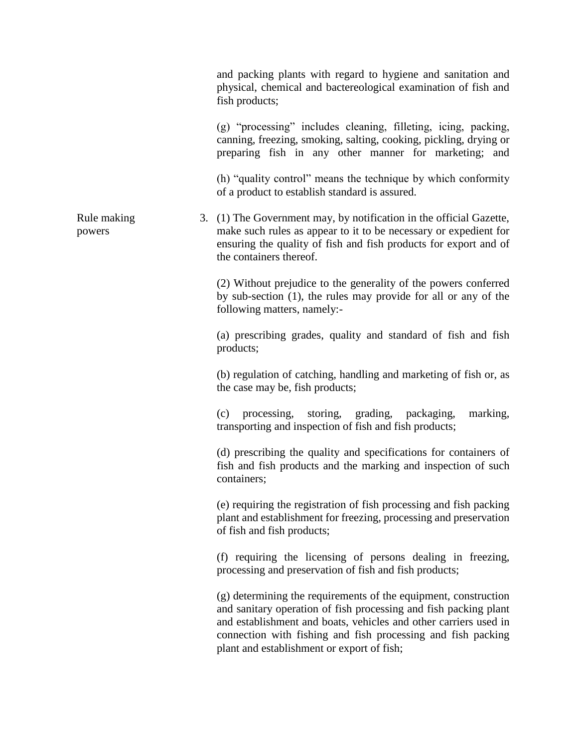and packing plants with regard to hygiene and sanitation and physical, chemical and bactereological examination of fish and fish products;

(g) "processing" includes cleaning, filleting, icing, packing, canning, freezing, smoking, salting, cooking, pickling, drying or preparing fish in any other manner for marketing; and

(h) "quality control" means the technique by which conformity of a product to establish standard is assured.

Rule making powers 3. (1) The Government may, by notification in the official Gazette, make such rules as appear to it to be necessary or expedient for ensuring the quality of fish and fish products for export and of the containers thereof.

> (2) Without prejudice to the generality of the powers conferred by sub-section (1), the rules may provide for all or any of the following matters, namely:-

> (a) prescribing grades, quality and standard of fish and fish products;

> (b) regulation of catching, handling and marketing of fish or, as the case may be, fish products;

> (c) processing, storing, grading, packaging, marking, transporting and inspection of fish and fish products;

> (d) prescribing the quality and specifications for containers of fish and fish products and the marking and inspection of such containers;

> (e) requiring the registration of fish processing and fish packing plant and establishment for freezing, processing and preservation of fish and fish products;

> (f) requiring the licensing of persons dealing in freezing, processing and preservation of fish and fish products;

> (g) determining the requirements of the equipment, construction and sanitary operation of fish processing and fish packing plant and establishment and boats, vehicles and other carriers used in connection with fishing and fish processing and fish packing plant and establishment or export of fish;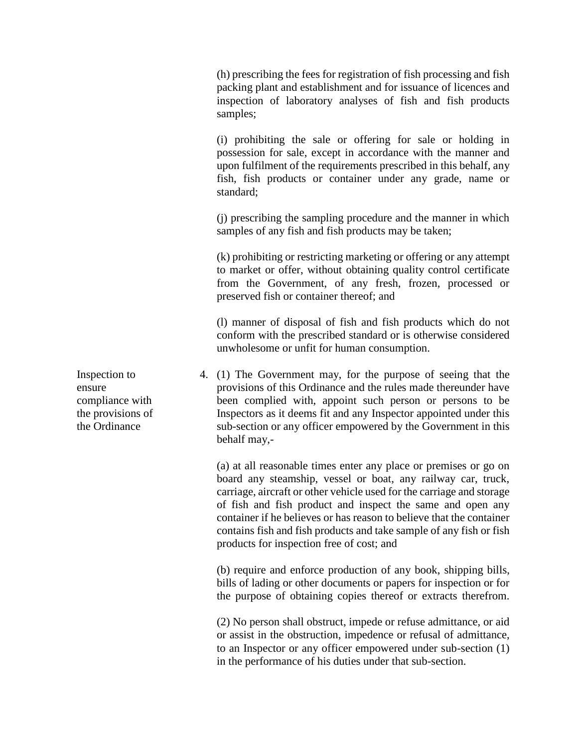(h) prescribing the fees for registration of fish processing and fish packing plant and establishment and for issuance of licences and inspection of laboratory analyses of fish and fish products samples;

(i) prohibiting the sale or offering for sale or holding in possession for sale, except in accordance with the manner and upon fulfilment of the requirements prescribed in this behalf, any fish, fish products or container under any grade, name or standard;

(j) prescribing the sampling procedure and the manner in which samples of any fish and fish products may be taken;

(k) prohibiting or restricting marketing or offering or any attempt to market or offer, without obtaining quality control certificate from the Government, of any fresh, frozen, processed or preserved fish or container thereof; and

(l) manner of disposal of fish and fish products which do not conform with the prescribed standard or is otherwise considered unwholesome or unfit for human consumption.

4. (1) The Government may, for the purpose of seeing that the provisions of this Ordinance and the rules made thereunder have been complied with, appoint such person or persons to be Inspectors as it deems fit and any Inspector appointed under this sub-section or any officer empowered by the Government in this behalf may,-

(a) at all reasonable times enter any place or premises or go on board any steamship, vessel or boat, any railway car, truck, carriage, aircraft or other vehicle used for the carriage and storage of fish and fish product and inspect the same and open any container if he believes or has reason to believe that the container contains fish and fish products and take sample of any fish or fish products for inspection free of cost; and

(b) require and enforce production of any book, shipping bills, bills of lading or other documents or papers for inspection or for the purpose of obtaining copies thereof or extracts therefrom.

(2) No person shall obstruct, impede or refuse admittance, or aid or assist in the obstruction, impedence or refusal of admittance, to an Inspector or any officer empowered under sub-section (1) in the performance of his duties under that sub-section.

Inspection to ensure compliance with the provisions of the Ordinance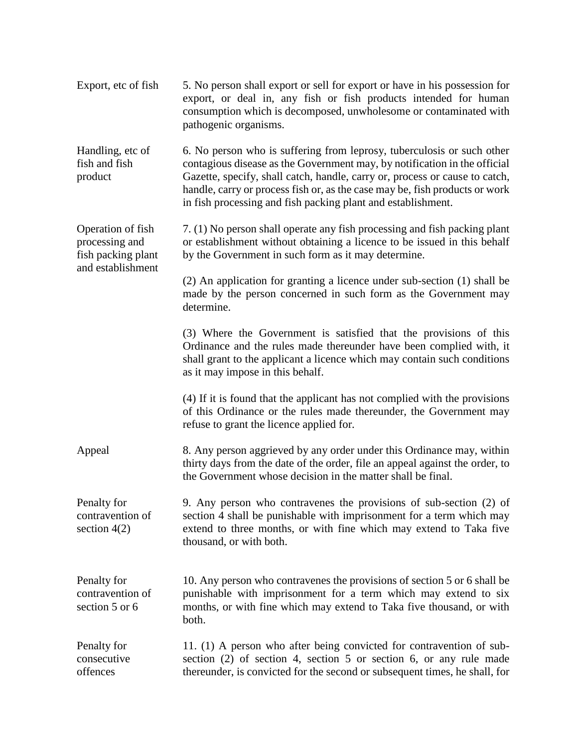| Export, etc of fish                                                            | 5. No person shall export or sell for export or have in his possession for<br>export, or deal in, any fish or fish products intended for human<br>consumption which is decomposed, unwholesome or contaminated with<br>pathogenic organisms.                                                                                                                                      |
|--------------------------------------------------------------------------------|-----------------------------------------------------------------------------------------------------------------------------------------------------------------------------------------------------------------------------------------------------------------------------------------------------------------------------------------------------------------------------------|
| Handling, etc of<br>fish and fish<br>product                                   | 6. No person who is suffering from leprosy, tuberculosis or such other<br>contagious disease as the Government may, by notification in the official<br>Gazette, specify, shall catch, handle, carry or, process or cause to catch,<br>handle, carry or process fish or, as the case may be, fish products or work<br>in fish processing and fish packing plant and establishment. |
| Operation of fish<br>processing and<br>fish packing plant<br>and establishment | 7. (1) No person shall operate any fish processing and fish packing plant<br>or establishment without obtaining a licence to be issued in this behalf<br>by the Government in such form as it may determine.                                                                                                                                                                      |
|                                                                                | (2) An application for granting a licence under sub-section (1) shall be<br>made by the person concerned in such form as the Government may<br>determine.                                                                                                                                                                                                                         |
|                                                                                | (3) Where the Government is satisfied that the provisions of this<br>Ordinance and the rules made thereunder have been complied with, it<br>shall grant to the applicant a licence which may contain such conditions<br>as it may impose in this behalf.                                                                                                                          |
|                                                                                | (4) If it is found that the applicant has not complied with the provisions<br>of this Ordinance or the rules made thereunder, the Government may<br>refuse to grant the licence applied for.                                                                                                                                                                                      |
| Appeal                                                                         | 8. Any person aggrieved by any order under this Ordinance may, within<br>thirty days from the date of the order, file an appeal against the order, to<br>the Government whose decision in the matter shall be final.                                                                                                                                                              |
| Penalty for<br>contravention of<br>section $4(2)$                              | 9. Any person who contravenes the provisions of sub-section (2) of<br>section 4 shall be punishable with imprisonment for a term which may<br>extend to three months, or with fine which may extend to Taka five<br>thousand, or with both.                                                                                                                                       |
| Penalty for<br>contravention of<br>section 5 or 6                              | 10. Any person who contravenes the provisions of section 5 or 6 shall be<br>punishable with imprisonment for a term which may extend to six<br>months, or with fine which may extend to Taka five thousand, or with<br>both.                                                                                                                                                      |
| Penalty for<br>consecutive<br>offences                                         | 11. (1) A person who after being convicted for contravention of sub-<br>section (2) of section 4, section 5 or section 6, or any rule made<br>thereunder, is convicted for the second or subsequent times, he shall, for                                                                                                                                                          |